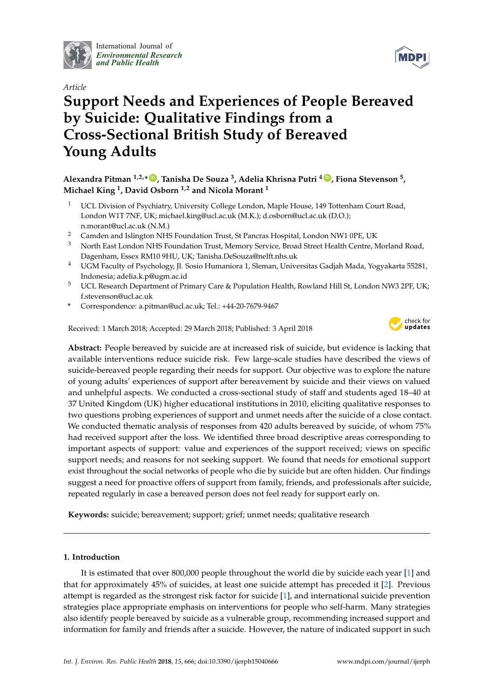

International Journal of *[Environmental Research](http://www.mdpi.com/journal/ijerph) and Public Health*





# **Support Needs and Experiences of People Bereaved by Suicide: Qualitative Findings from a Cross-Sectional British Study of Bereaved Young Adults**

**Alexandra Pitman 1,2,\* [ID](https://orcid.org/0000-0002-9742-1359) , Tanisha De Souza <sup>3</sup> , Adelia Khrisna Putri <sup>4</sup> [ID](https://orcid.org/0000-0001-6889-1231) , Fiona Stevenson <sup>5</sup> , Michael King <sup>1</sup> , David Osborn 1,2 and Nicola Morant <sup>1</sup>**

- <sup>1</sup> UCL Division of Psychiatry, University College London, Maple House, 149 Tottenham Court Road, London W1T 7NF, UK; michael.king@ucl.ac.uk (M.K.); d.osborn@ucl.ac.uk (D.O.); n.morant@ucl.ac.uk (N.M.)
- <sup>2</sup> Camden and Islington NHS Foundation Trust, St Pancras Hospital, London NW1 0PE, UK
- <sup>3</sup> North East London NHS Foundation Trust, Memory Service, Broad Street Health Centre, Morland Road, Dagenham, Essex RM10 9HU, UK; Tanisha.DeSouza@nelft.nhs.uk
- <sup>4</sup> UGM Faculty of Psychology, Jl. Sosio Humaniora 1, Sleman, Universitas Gadjah Mada, Yogyakarta 55281, Indonesia; adelia.k.p@ugm.ac.id
- <sup>5</sup> UCL Research Department of Primary Care & Population Health, Rowland Hill St, London NW3 2PF, UK; f.stevenson@ucl.ac.uk
- **\*** Correspondence: a.pitman@ucl.ac.uk; Tel.: +44-20-7679-9467

Received: 1 March 2018; Accepted: 29 March 2018; Published: 3 April 2018



**Abstract:** People bereaved by suicide are at increased risk of suicide, but evidence is lacking that available interventions reduce suicide risk. Few large-scale studies have described the views of suicide-bereaved people regarding their needs for support. Our objective was to explore the nature of young adults' experiences of support after bereavement by suicide and their views on valued and unhelpful aspects. We conducted a cross-sectional study of staff and students aged 18–40 at 37 United Kingdom (UK) higher educational institutions in 2010, eliciting qualitative responses to two questions probing experiences of support and unmet needs after the suicide of a close contact. We conducted thematic analysis of responses from 420 adults bereaved by suicide, of whom 75% had received support after the loss. We identified three broad descriptive areas corresponding to important aspects of support: value and experiences of the support received; views on specific support needs; and reasons for not seeking support. We found that needs for emotional support exist throughout the social networks of people who die by suicide but are often hidden. Our findings suggest a need for proactive offers of support from family, friends, and professionals after suicide, repeated regularly in case a bereaved person does not feel ready for support early on.

**Keywords:** suicide; bereavement; support; grief; unmet needs; qualitative research

# <span id="page-0-0"></span>**1. Introduction**

It is estimated that over 800,000 people throughout the world die by suicide each year [\[1\]](#page-18-0) and that for approximately 45% of suicides, at least one suicide attempt has preceded it [\[2\]](#page-18-1). Previous attempt is regarded as the strongest risk factor for suicide [\[1\]](#page-18-0), and international suicide prevention strategies place appropriate emphasis on interventions for people who self-harm. Many strategies also identify people bereaved by suicide as a vulnerable group, recommending increased support and information for family and friends after a suicide. However, the nature of indicated support in such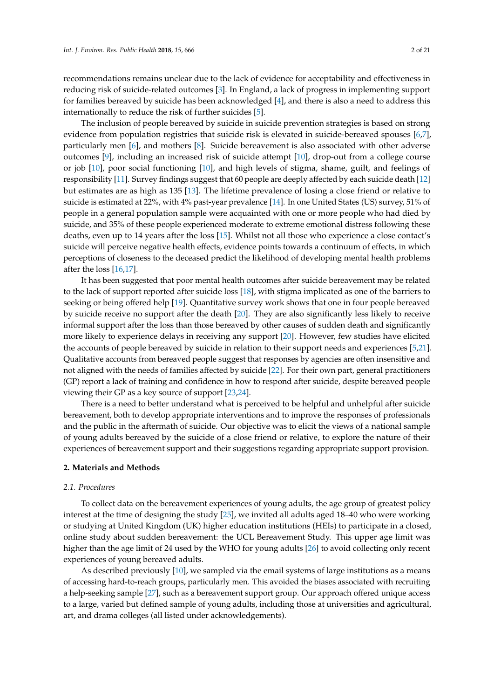recommendations remains unclear due to the lack of evidence for acceptability and effectiveness in reducing risk of suicide-related outcomes [\[3\]](#page-18-2). In England, a lack of progress in implementing support for families bereaved by suicide has been acknowledged [\[4\]](#page-18-3), and there is also a need to address this internationally to reduce the risk of further suicides [\[5\]](#page-18-4).

The inclusion of people bereaved by suicide in suicide prevention strategies is based on strong evidence from population registries that suicide risk is elevated in suicide-bereaved spouses [\[6,](#page-18-5)[7\]](#page-18-6), particularly men [\[6\]](#page-18-5), and mothers [\[8\]](#page-18-7). Suicide bereavement is also associated with other adverse outcomes [\[9\]](#page-18-8), including an increased risk of suicide attempt [\[10\]](#page-18-9), drop-out from a college course or job [\[10\]](#page-18-9), poor social functioning [\[10\]](#page-18-9), and high levels of stigma, shame, guilt, and feelings of responsibility [\[11\]](#page-18-10). Survey findings suggest that 60 people are deeply affected by each suicide death [\[12\]](#page-18-11) but estimates are as high as 135 [\[13\]](#page-18-12). The lifetime prevalence of losing a close friend or relative to suicide is estimated at 22%, with 4% past-year prevalence [\[14\]](#page-19-0). In one United States (US) survey, 51% of people in a general population sample were acquainted with one or more people who had died by suicide, and 35% of these people experienced moderate to extreme emotional distress following these deaths, even up to 14 years after the loss [\[15\]](#page-19-1). Whilst not all those who experience a close contact's suicide will perceive negative health effects, evidence points towards a continuum of effects, in which perceptions of closeness to the deceased predict the likelihood of developing mental health problems after the loss [\[16,](#page-19-2)[17\]](#page-19-3).

It has been suggested that poor mental health outcomes after suicide bereavement may be related to the lack of support reported after suicide loss [\[18\]](#page-19-4), with stigma implicated as one of the barriers to seeking or being offered help [\[19\]](#page-19-5). Quantitative survey work shows that one in four people bereaved by suicide receive no support after the death [\[20\]](#page-19-6). They are also significantly less likely to receive informal support after the loss than those bereaved by other causes of sudden death and significantly more likely to experience delays in receiving any support [\[20\]](#page-19-6). However, few studies have elicited the accounts of people bereaved by suicide in relation to their support needs and experiences [\[5,](#page-18-4)[21\]](#page-19-7). Qualitative accounts from bereaved people suggest that responses by agencies are often insensitive and not aligned with the needs of families affected by suicide [\[22\]](#page-19-8). For their own part, general practitioners (GP) report a lack of training and confidence in how to respond after suicide, despite bereaved people viewing their GP as a key source of support [\[23](#page-19-9)[,24\]](#page-19-10).

There is a need to better understand what is perceived to be helpful and unhelpful after suicide bereavement, both to develop appropriate interventions and to improve the responses of professionals and the public in the aftermath of suicide. Our objective was to elicit the views of a national sample of young adults bereaved by the suicide of a close friend or relative, to explore the nature of their experiences of bereavement support and their suggestions regarding appropriate support provision.

# <span id="page-1-0"></span>**2. Materials and Methods**

#### *2.1. Procedures*

To collect data on the bereavement experiences of young adults, the age group of greatest policy interest at the time of designing the study [\[25\]](#page-19-11), we invited all adults aged 18–40 who were working or studying at United Kingdom (UK) higher education institutions (HEIs) to participate in a closed, online study about sudden bereavement: the UCL Bereavement Study. This upper age limit was higher than the age limit of 24 used by the WHO for young adults [\[26\]](#page-19-12) to avoid collecting only recent experiences of young bereaved adults.

As described previously [\[10\]](#page-18-9), we sampled via the email systems of large institutions as a means of accessing hard-to-reach groups, particularly men. This avoided the biases associated with recruiting a help-seeking sample [\[27\]](#page-19-13), such as a bereavement support group. Our approach offered unique access to a large, varied but defined sample of young adults, including those at universities and agricultural, art, and drama colleges (all listed under acknowledgements).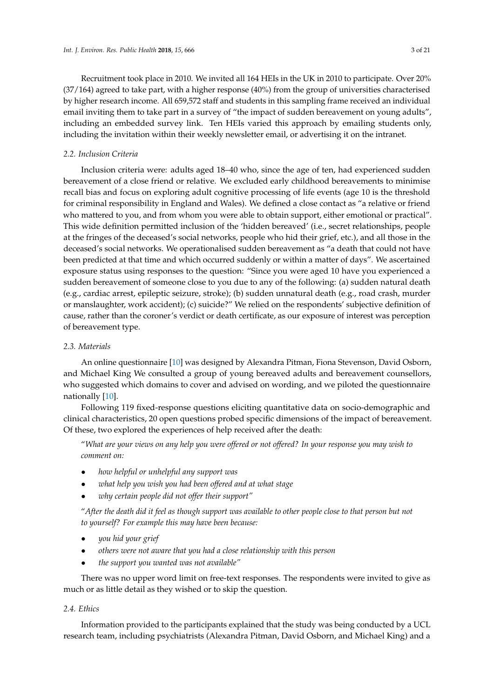Recruitment took place in 2010. We invited all 164 HEIs in the UK in 2010 to participate. Over 20% (37/164) agreed to take part, with a higher response (40%) from the group of universities characterised by higher research income. All 659,572 staff and students in this sampling frame received an individual email inviting them to take part in a survey of "the impact of sudden bereavement on young adults", including an embedded survey link. Ten HEIs varied this approach by emailing students only, including the invitation within their weekly newsletter email, or advertising it on the intranet.

# *2.2. Inclusion Criteria*

Inclusion criteria were: adults aged 18–40 who, since the age of ten, had experienced sudden bereavement of a close friend or relative. We excluded early childhood bereavements to minimise recall bias and focus on exploring adult cognitive processing of life events (age 10 is the threshold for criminal responsibility in England and Wales). We defined a close contact as "a relative or friend who mattered to you, and from whom you were able to obtain support, either emotional or practical". This wide definition permitted inclusion of the 'hidden bereaved' (i.e., secret relationships, people at the fringes of the deceased's social networks, people who hid their grief, etc.), and all those in the deceased's social networks. We operationalised sudden bereavement as "a death that could not have been predicted at that time and which occurred suddenly or within a matter of days". We ascertained exposure status using responses to the question: "Since you were aged 10 have you experienced a sudden bereavement of someone close to you due to any of the following: (a) sudden natural death (e.g., cardiac arrest, epileptic seizure, stroke); (b) sudden unnatural death (e.g., road crash, murder or manslaughter, work accident); (c) suicide?" We relied on the respondents' subjective definition of cause, rather than the coroner's verdict or death certificate, as our exposure of interest was perception of bereavement type.

#### *2.3. Materials*

An online questionnaire [\[10\]](#page-18-9) was designed by Alexandra Pitman, Fiona Stevenson, David Osborn, and Michael King We consulted a group of young bereaved adults and bereavement counsellors, who suggested which domains to cover and advised on wording, and we piloted the questionnaire nationally [\[10\]](#page-18-9).

Following 119 fixed-response questions eliciting quantitative data on socio-demographic and clinical characteristics, 20 open questions probed specific dimensions of the impact of bereavement. Of these, two explored the experiences of help received after the death:

"*What are your views on any help you were offered or not offered? In your response you may wish to comment on:*

- *how helpful or unhelpful any support was*
- *what help you wish you had been offered and at what stage*
- *why certain people did not offer their support"*

"*After the death did it feel as though support was available to other people close to that person but not to yourself? For example this may have been because:*

- *you hid your grief*
- *others were not aware that you had a close relationship with this person*
- *the support you wanted was not available"*

There was no upper word limit on free-text responses. The respondents were invited to give as much or as little detail as they wished or to skip the question.

#### *2.4. Ethics*

Information provided to the participants explained that the study was being conducted by a UCL research team, including psychiatrists (Alexandra Pitman, David Osborn, and Michael King) and a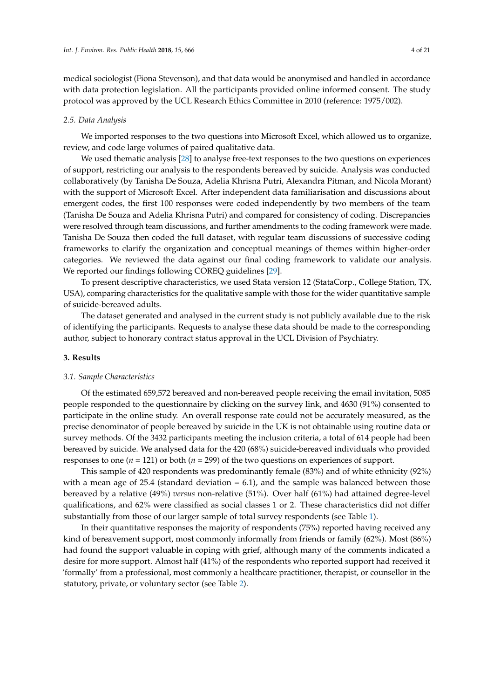medical sociologist (Fiona Stevenson), and that data would be anonymised and handled in accordance with data protection legislation. All the participants provided online informed consent. The study protocol was approved by the UCL Research Ethics Committee in 2010 (reference: 1975/002).

#### *2.5. Data Analysis*

We imported responses to the two questions into Microsoft Excel, which allowed us to organize, review, and code large volumes of paired qualitative data.

We used thematic analysis [\[28\]](#page-19-14) to analyse free-text responses to the two questions on experiences of support, restricting our analysis to the respondents bereaved by suicide. Analysis was conducted collaboratively (by Tanisha De Souza, Adelia Khrisna Putri, Alexandra Pitman, and Nicola Morant) with the support of Microsoft Excel. After independent data familiarisation and discussions about emergent codes, the first 100 responses were coded independently by two members of the team (Tanisha De Souza and Adelia Khrisna Putri) and compared for consistency of coding. Discrepancies were resolved through team discussions, and further amendments to the coding framework were made. Tanisha De Souza then coded the full dataset, with regular team discussions of successive coding frameworks to clarify the organization and conceptual meanings of themes within higher-order categories. We reviewed the data against our final coding framework to validate our analysis. We reported our findings following COREQ guidelines [\[29\]](#page-19-15).

To present descriptive characteristics, we used Stata version 12 (StataCorp., College Station, TX, USA), comparing characteristics for the qualitative sample with those for the wider quantitative sample of suicide-bereaved adults.

The dataset generated and analysed in the current study is not publicly available due to the risk of identifying the participants. Requests to analyse these data should be made to the corresponding author, subject to honorary contract status approval in the UCL Division of Psychiatry.

#### <span id="page-3-0"></span>**3. Results**

#### *3.1. Sample Characteristics*

Of the estimated 659,572 bereaved and non-bereaved people receiving the email invitation, 5085 people responded to the questionnaire by clicking on the survey link, and 4630 (91%) consented to participate in the online study. An overall response rate could not be accurately measured, as the precise denominator of people bereaved by suicide in the UK is not obtainable using routine data or survey methods. Of the 3432 participants meeting the inclusion criteria, a total of 614 people had been bereaved by suicide. We analysed data for the 420 (68%) suicide-bereaved individuals who provided responses to one (*n* = 121) or both (*n* = 299) of the two questions on experiences of support.

This sample of 420 respondents was predominantly female (83%) and of white ethnicity (92%) with a mean age of 25.4 (standard deviation  $= 6.1$ ), and the sample was balanced between those bereaved by a relative (49%) *versus* non-relative (51%). Over half (61%) had attained degree-level qualifications, and 62% were classified as social classes 1 or 2. These characteristics did not differ substantially from those of our larger sample of total survey respondents (see Table [1\)](#page-4-0).

In their quantitative responses the majority of respondents (75%) reported having received any kind of bereavement support, most commonly informally from friends or family (62%). Most (86%) had found the support valuable in coping with grief, although many of the comments indicated a desire for more support. Almost half (41%) of the respondents who reported support had received it 'formally' from a professional, most commonly a healthcare practitioner, therapist, or counsellor in the statutory, private, or voluntary sector (see Table [2\)](#page-5-0).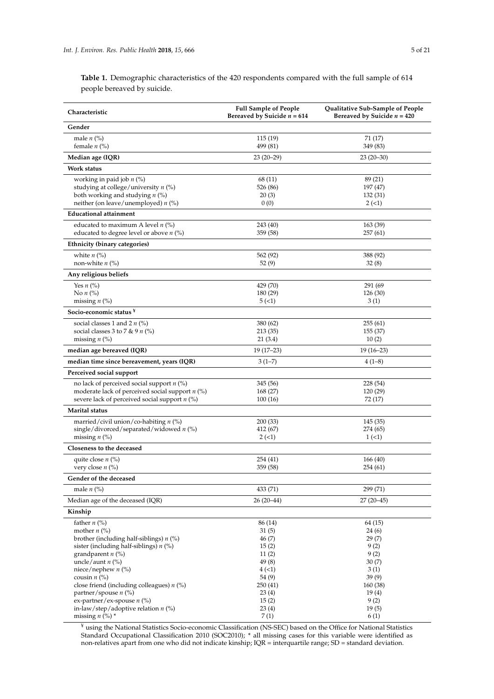<span id="page-4-0"></span>**Table 1.** Demographic characteristics of the 420 respondents compared with the full sample of 614 people bereaved by suicide.

| Characteristic                                                                                   | <b>Full Sample of People</b><br>Bereaved by Suicide $n = 614$ | Qualitative Sub-Sample of People<br>Bereaved by Suicide $n = 420$ |
|--------------------------------------------------------------------------------------------------|---------------------------------------------------------------|-------------------------------------------------------------------|
| Gender                                                                                           |                                                               |                                                                   |
| male $n$ (%)<br>female $n$ (%)                                                                   | 115 (19)<br>499 (81)                                          | 71 (17)<br>349 (83)                                               |
| Median age (IQR)                                                                                 | $23(20-29)$                                                   | $23(20-30)$                                                       |
| Work status                                                                                      |                                                               |                                                                   |
| working in paid job $n$ (%)                                                                      | 68 (11)                                                       | 89 (21)                                                           |
| studying at college/university $n$ (%)                                                           | 526 (86)                                                      | 197 (47)                                                          |
| both working and studying $n$ (%)                                                                | 20(3)                                                         | 132 (31)                                                          |
| neither (on leave/unemployed) n (%)                                                              | 0(0)                                                          | $2(-1)$                                                           |
| <b>Educational attainment</b>                                                                    |                                                               |                                                                   |
| educated to maximum A level $n$ (%)<br>educated to degree level or above $n$ (%)                 | 243 (40)<br>359 (58)                                          | 163 (39)<br>257 (61)                                              |
| Ethnicity (binary categories)                                                                    |                                                               |                                                                   |
| white $n$ $\left(\% \right)$                                                                     | 562 (92)                                                      | 388 (92)                                                          |
| non-white $n$ (%)                                                                                | 52(9)                                                         | 32(8)                                                             |
| Any religious beliefs                                                                            |                                                               |                                                                   |
| Yes $n$ (%)                                                                                      | 429 (70)                                                      | 291 (69                                                           |
| No $n$ (%)                                                                                       | 180 (29)                                                      | 126 (30)                                                          |
| missing $n$ (%)                                                                                  | 5(1)                                                          | 3(1)                                                              |
| Socio-economic status <sup>¥</sup>                                                               |                                                               |                                                                   |
| social classes 1 and 2 $n$ (%)                                                                   | 380 (62)                                                      | 255(61)                                                           |
| social classes 3 to 7 & 9 $n$ (%)<br>missing $n$ (%)                                             | 213 (35)<br>21 (3.4)                                          | 155 (37)<br>10(2)                                                 |
| median age bereaved (IQR)                                                                        | $19(17-23)$                                                   | $19(16-23)$                                                       |
| median time since bereavement, years (IQR)                                                       | $3(1-7)$                                                      | $4(1-8)$                                                          |
| Perceived social support                                                                         |                                                               |                                                                   |
|                                                                                                  |                                                               |                                                                   |
| no lack of perceived social support $n$ (%)<br>moderate lack of perceived social support $n$ (%) | 345 (56)<br>168 (27)                                          | 228 (54)<br>120 (29)                                              |
| severe lack of perceived social support $n$ (%)                                                  | 100(16)                                                       | 72 (17)                                                           |
| <b>Marital status</b>                                                                            |                                                               |                                                                   |
| married/civil union/co-habiting $n$ (%)                                                          | 200 (33)                                                      | 145 (35)                                                          |
| single/divorced/separated/widowed $n$ (%)                                                        | 412 (67)                                                      | 274 (65)                                                          |
| missing $n$ (%)                                                                                  | 2(1)                                                          | 1(1)                                                              |
| Closeness to the deceased                                                                        |                                                               |                                                                   |
| quite close $n$ (%)<br>very close $n$ (%)                                                        | 254 (41)<br>359 (58)                                          | 166 (40)<br>254 (61)                                              |
| Gender of the deceased                                                                           |                                                               |                                                                   |
| male $n$ (%)                                                                                     |                                                               | 299 (71)                                                          |
|                                                                                                  | 433 (71)                                                      |                                                                   |
| Median age of the deceased (IQR)                                                                 | 26 (20–44)                                                    | $27(20-45)$                                                       |
| Kinship                                                                                          |                                                               |                                                                   |
| father $n$ (%)<br>mother $n$ (%)                                                                 | 86 (14)<br>31(5)                                              | 64 (15)<br>24(6)                                                  |
| brother (including half-siblings) $n$ (%)                                                        | 46(7)                                                         | 29(7)                                                             |
| sister (including half-siblings) $n$ (%)                                                         | 15(2)                                                         | 9(2)                                                              |
| grandparent $n$ (%)                                                                              | 11(2)                                                         | 9(2)                                                              |
| uncle/aunt $n$ (%)                                                                               | 49(8)                                                         | 30(7)                                                             |
| niece/nephew $n$ (%)<br>cousin $n$ (%)                                                           | 4(1)<br>54(9)                                                 | 3(1)<br>39(9)                                                     |
| close friend (including colleagues) $n$ (%)                                                      | 250(41)                                                       | 160 (38)                                                          |
| partner/spouse n (%)                                                                             | 23(4)                                                         | 19(4)                                                             |
| ex-partner/ex-spouse $n$ (%)                                                                     | 15(2)                                                         | 9(2)                                                              |
| in-law/step/adoptive relation $n$ (%)                                                            | 23(4)                                                         | 19(5)                                                             |
| missing $n$ (%) $*$                                                                              | 7(1)                                                          | 6(1)                                                              |

¥ using the National Statistics Socio-economic Classification (NS-SEC) based on the Office for National Statistics Standard Occupational Classification 2010 (SOC2010); \* all missing cases for this variable were identified as non-relatives apart from one who did not indicate kinship; IQR = interquartile range; SD = standard deviation.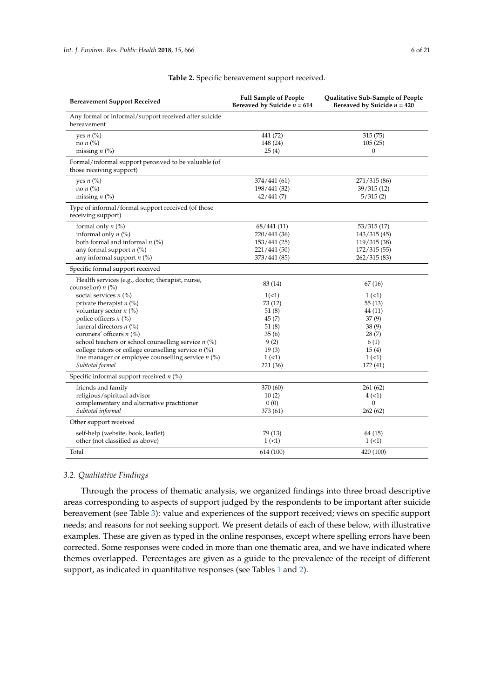<span id="page-5-0"></span>

| <b>Bereavement Support Received</b>                                              | <b>Full Sample of People</b><br>Bereaved by Suicide $n = 614$ | Qualitative Sub-Sample of People<br>Bereaved by Suicide $n = 420$ |
|----------------------------------------------------------------------------------|---------------------------------------------------------------|-------------------------------------------------------------------|
| Any formal or informal/support received after suicide<br>bereavement             |                                                               |                                                                   |
| yes $n$ (%)<br>no $n$ (%)                                                        | 441 (72)<br>148 (24)                                          | 315 (75)<br>105(25)                                               |
| missing $n$ (%)                                                                  | 25(4)                                                         | $\boldsymbol{0}$                                                  |
| Formal/informal support perceived to be valuable (of<br>those receiving support) |                                                               |                                                                   |
| yes $n$ (%)                                                                      | 374/441 (61)                                                  | 271/315 (86)                                                      |
| no $n$ $\left(\% \right)$                                                        | 198/441 (32)                                                  | 39/315(12)                                                        |
| missing $n$ (%)                                                                  | 42/441(7)                                                     | 5/315(2)                                                          |
| Type of informal/formal support received (of those<br>receiving support)         |                                                               |                                                                   |
| formal only $n$ (%)                                                              | 68/441(11)                                                    | 53/315(17)                                                        |
| informal only $n$ (%)                                                            | 220/441 (36)                                                  | 143/315(45)                                                       |
| both formal and informal $n$ (%)                                                 | 153/441(25)                                                   | 119/315 (38)                                                      |
| any formal support $n$ (%)                                                       | 221/441 (50)                                                  | 172/315(55)                                                       |
| any informal support $n$ (%)                                                     | 373/441 (85)                                                  | 262/315(83)                                                       |
| Specific formal support received                                                 |                                                               |                                                                   |
| Health services (e.g., doctor, therapist, nurse,                                 | 83 (14)                                                       | 67(16)                                                            |
| counsellor) $n$ (%)                                                              |                                                               |                                                                   |
| social services $n$ (%)<br>private therapist $n$ (%)                             | 1(<1)<br>73 (12)                                              | 1(1)<br>55(13)                                                    |
| voluntary sector $n$ (%)                                                         | 51(8)                                                         | 44 (11)                                                           |
| police officers $n$ (%)                                                          | 45(7)                                                         | 37(9)                                                             |
| funeral directors $n$ (%)                                                        | 51(8)                                                         | 38(9)                                                             |
| coroners' officers $n$ (%)                                                       | 35(6)                                                         | 28(7)                                                             |
| school teachers or school counselling service $n$ (%)                            | 9(2)                                                          | 6(1)                                                              |
| college tutors or college counselling service $n$ (%)                            | 19(3)                                                         | 15(4)                                                             |
| line manager or employee counselling service $n$ (%)                             | 1(1)                                                          | 1(1)                                                              |
| Subtotal formal                                                                  | 221 (36)                                                      | 172 (41)                                                          |
| Specific informal support received $n$ (%)                                       |                                                               |                                                                   |
| friends and family                                                               | 370 (60)                                                      | 261 (62)                                                          |
| religious/spiritual advisor                                                      | 10(2)                                                         | 4(1)                                                              |
| complementary and alternative practitioner                                       | 0(0)                                                          | $\Omega$                                                          |
| Subtotal informal                                                                | 373 (61)                                                      | 262 (62)                                                          |
| Other support received                                                           |                                                               |                                                                   |
| self-help (website, book, leaflet)                                               | 79 (13)                                                       | 64 (15)                                                           |
| other (not classified as above)                                                  | 1(1)                                                          | 1(1)                                                              |
| Total                                                                            | 614 (100)                                                     | 420 (100)                                                         |

# **Table 2.** Specific bereavement support received.

#### *3.2. Qualitative Findings*

Through the process of thematic analysis, we organized findings into three broad descriptive areas corresponding to aspects of support judged by the respondents to be important after suicide bereavement (see Table [3\)](#page-6-0): value and experiences of the support received; views on specific support needs; and reasons for not seeking support. We present details of each of these below, with illustrative examples. These are given as typed in the online responses, except where spelling errors have been corrected. Some responses were coded in more than one thematic area, and we have indicated where themes overlapped. Percentages are given as a guide to the prevalence of the receipt of different support, as indicated in quantitative responses (see Tables [1](#page-4-0) and [2\)](#page-5-0).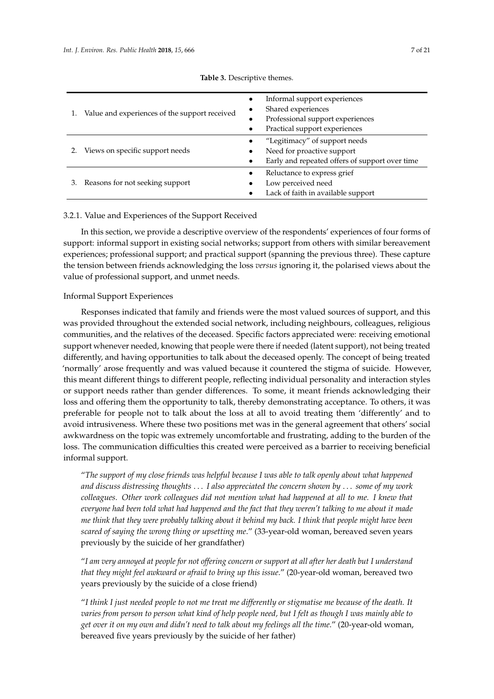<span id="page-6-0"></span>

|    | 1. Value and experiences of the support received | Informal support experiences<br>Shared experiences<br>Professional support experiences<br>Practical support experiences |
|----|--------------------------------------------------|-------------------------------------------------------------------------------------------------------------------------|
|    | Views on specific support needs                  | "Legitimacy" of support needs<br>Need for proactive support<br>Early and repeated offers of support over time           |
| 3. | Reasons for not seeking support                  | Reluctance to express grief<br>Low perceived need<br>Lack of faith in available support                                 |

#### **Table 3.** Descriptive themes.

# 3.2.1. Value and Experiences of the Support Received

In this section, we provide a descriptive overview of the respondents' experiences of four forms of support: informal support in existing social networks; support from others with similar bereavement experiences; professional support; and practical support (spanning the previous three). These capture the tension between friends acknowledging the loss *versus* ignoring it, the polarised views about the value of professional support, and unmet needs.

# Informal Support Experiences

Responses indicated that family and friends were the most valued sources of support, and this was provided throughout the extended social network, including neighbours, colleagues, religious communities, and the relatives of the deceased. Specific factors appreciated were: receiving emotional support whenever needed, knowing that people were there if needed (latent support), not being treated differently, and having opportunities to talk about the deceased openly. The concept of being treated 'normally' arose frequently and was valued because it countered the stigma of suicide. However, this meant different things to different people, reflecting individual personality and interaction styles or support needs rather than gender differences. To some, it meant friends acknowledging their loss and offering them the opportunity to talk, thereby demonstrating acceptance. To others, it was preferable for people not to talk about the loss at all to avoid treating them 'differently' and to avoid intrusiveness. Where these two positions met was in the general agreement that others' social awkwardness on the topic was extremely uncomfortable and frustrating, adding to the burden of the loss. The communication difficulties this created were perceived as a barrier to receiving beneficial informal support.

"*The support of my close friends was helpful because I was able to talk openly about what happened and discuss distressing thoughts* . . . *I also appreciated the concern shown by* . . . *some of my work colleagues. Other work colleagues did not mention what had happened at all to me. I knew that everyone had been told what had happened and the fact that they weren't talking to me about it made me think that they were probably talking about it behind my back. I think that people might have been scared of saying the wrong thing or upsetting me*." (33-year-old woman, bereaved seven years previously by the suicide of her grandfather)

"*I am very annoyed at people for not offering concern or support at all after her death but I understand that they might feel awkward or afraid to bring up this issue*." (20-year-old woman, bereaved two years previously by the suicide of a close friend)

"*I think I just needed people to not me treat me differently or stigmatise me because of the death. It varies from person to person what kind of help people need, but I felt as though I was mainly able to get over it on my own and didn't need to talk about my feelings all the time*." (20-year-old woman, bereaved five years previously by the suicide of her father)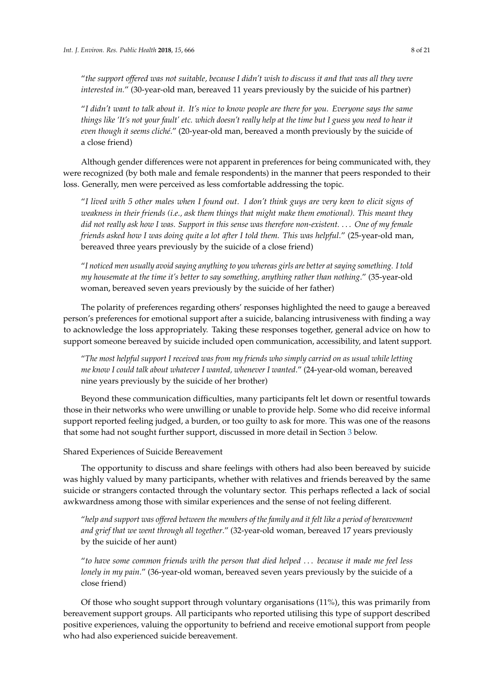"*the support offered was not suitable, because I didn't wish to discuss it and that was all they were interested in.*" (30-year-old man, bereaved 11 years previously by the suicide of his partner)

"*I didn't want to talk about it. It's nice to know people are there for you. Everyone says the same things like 'It's not your fault' etc. which doesn't really help at the time but I guess you need to hear it even though it seems cliché*." (20-year-old man, bereaved a month previously by the suicide of a close friend)

Although gender differences were not apparent in preferences for being communicated with, they were recognized (by both male and female respondents) in the manner that peers responded to their loss. Generally, men were perceived as less comfortable addressing the topic.

"*I lived with 5 other males when I found out. I don't think guys are very keen to elicit signs of weakness in their friends (i.e., ask them things that might make them emotional). This meant they did not really ask how I was. Support in this sense was therefore non-existent.* . . . *One of my female friends asked how I was doing quite a lot after I told them. This was helpful*." (25-year-old man, bereaved three years previously by the suicide of a close friend)

"*I noticed men usually avoid saying anything to you whereas girls are better at saying something. I told my housemate at the time it's better to say something, anything rather than nothing*." (35-year-old woman, bereaved seven years previously by the suicide of her father)

The polarity of preferences regarding others' responses highlighted the need to gauge a bereaved person's preferences for emotional support after a suicide, balancing intrusiveness with finding a way to acknowledge the loss appropriately. Taking these responses together, general advice on how to support someone bereaved by suicide included open communication, accessibility, and latent support.

"*The most helpful support I received was from my friends who simply carried on as usual while letting me know I could talk about whatever I wanted, whenever I wanted*." (24-year-old woman, bereaved nine years previously by the suicide of her brother)

Beyond these communication difficulties, many participants felt let down or resentful towards those in their networks who were unwilling or unable to provide help. Some who did receive informal support reported feeling judged, a burden, or too guilty to ask for more. This was one of the reasons that some had not sought further support, discussed in more detail in Section [3](#page-3-0) below.

#### Shared Experiences of Suicide Bereavement

The opportunity to discuss and share feelings with others had also been bereaved by suicide was highly valued by many participants, whether with relatives and friends bereaved by the same suicide or strangers contacted through the voluntary sector. This perhaps reflected a lack of social awkwardness among those with similar experiences and the sense of not feeling different.

"*help and support was offered between the members of the family and it felt like a period of bereavement and grief that we went through all together*." (32-year-old woman, bereaved 17 years previously by the suicide of her aunt)

"*to have some common friends with the person that died helped* . . . *because it made me feel less lonely in my pain*." (36-year-old woman, bereaved seven years previously by the suicide of a close friend)

Of those who sought support through voluntary organisations (11%), this was primarily from bereavement support groups. All participants who reported utilising this type of support described positive experiences, valuing the opportunity to befriend and receive emotional support from people who had also experienced suicide bereavement.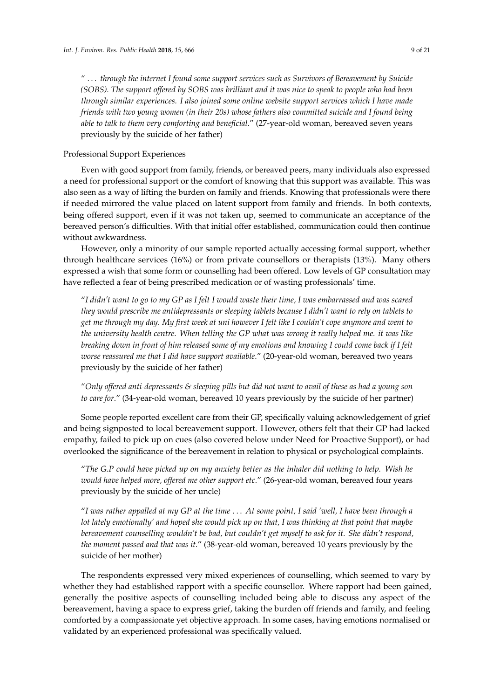" . . . *through the internet I found some support services such as Survivors of Bereavement by Suicide (SOBS). The support offered by SOBS was brilliant and it was nice to speak to people who had been through similar experiences. I also joined some online website support services which I have made friends with two young women (in their 20s) whose fathers also committed suicide and I found being able to talk to them very comforting and beneficial*." (27-year-old woman, bereaved seven years previously by the suicide of her father)

# Professional Support Experiences

Even with good support from family, friends, or bereaved peers, many individuals also expressed a need for professional support or the comfort of knowing that this support was available. This was also seen as a way of lifting the burden on family and friends. Knowing that professionals were there if needed mirrored the value placed on latent support from family and friends. In both contexts, being offered support, even if it was not taken up, seemed to communicate an acceptance of the bereaved person's difficulties. With that initial offer established, communication could then continue without awkwardness.

However, only a minority of our sample reported actually accessing formal support, whether through healthcare services (16%) or from private counsellors or therapists (13%). Many others expressed a wish that some form or counselling had been offered. Low levels of GP consultation may have reflected a fear of being prescribed medication or of wasting professionals' time.

"*I didn't want to go to my GP as I felt I would waste their time, I was embarrassed and was scared they would prescribe me antidepressants or sleeping tablets because I didn't want to rely on tablets to get me through my day. My first week at uni however I felt like I couldn't cope anymore and went to the university health centre. When telling the GP what was wrong it really helped me. it was like breaking down in front of him released some of my emotions and knowing I could come back if I felt worse reassured me that I did have support available*." (20-year-old woman, bereaved two years previously by the suicide of her father)

"*Only offered anti-depressants & sleeping pills but did not want to avail of these as had a young son to care for*." (34-year-old woman, bereaved 10 years previously by the suicide of her partner)

Some people reported excellent care from their GP, specifically valuing acknowledgement of grief and being signposted to local bereavement support. However, others felt that their GP had lacked empathy, failed to pick up on cues (also covered below under Need for Proactive Support), or had overlooked the significance of the bereavement in relation to physical or psychological complaints.

"*The G.P could have picked up on my anxiety better as the inhaler did nothing to help. Wish he would have helped more, offered me other support etc*." (26-year-old woman, bereaved four years previously by the suicide of her uncle)

"*I was rather appalled at my GP at the time* . . . *At some point, I said 'well, I have been through a lot lately emotionally' and hoped she would pick up on that, I was thinking at that point that maybe bereavement counselling wouldn't be bad, but couldn't get myself to ask for it. She didn't respond, the moment passed and that was it*." (38-year-old woman, bereaved 10 years previously by the suicide of her mother)

The respondents expressed very mixed experiences of counselling, which seemed to vary by whether they had established rapport with a specific counsellor. Where rapport had been gained, generally the positive aspects of counselling included being able to discuss any aspect of the bereavement, having a space to express grief, taking the burden off friends and family, and feeling comforted by a compassionate yet objective approach. In some cases, having emotions normalised or validated by an experienced professional was specifically valued.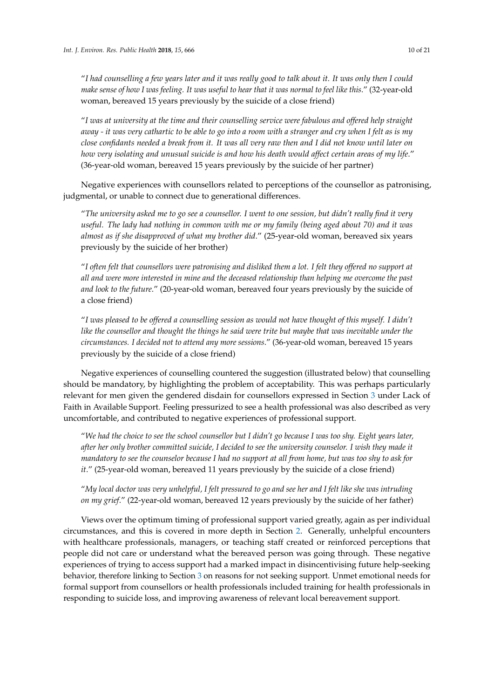"*I had counselling a few years later and it was really good to talk about it. It was only then I could make sense of how I was feeling. It was useful to hear that it was normal to feel like this*." (32-year-old woman, bereaved 15 years previously by the suicide of a close friend)

"*I was at university at the time and their counselling service were fabulous and offered help straight away - it was very cathartic to be able to go into a room with a stranger and cry when I felt as is my close confidants needed a break from it. It was all very raw then and I did not know until later on* how very isolating and unusual suicide is and how his death would affect certain areas of my life." (36-year-old woman, bereaved 15 years previously by the suicide of her partner)

Negative experiences with counsellors related to perceptions of the counsellor as patronising, judgmental, or unable to connect due to generational differences.

"*The university asked me to go see a counsellor. I went to one session, but didn't really find it very useful. The lady had nothing in common with me or my family (being aged about 70) and it was almost as if she disapproved of what my brother did*." (25-year-old woman, bereaved six years previously by the suicide of her brother)

"*I often felt that counsellors were patronising and disliked them a lot. I felt they offered no support at all and were more interested in mine and the deceased relationship than helping me overcome the past and look to the future*." (20-year-old woman, bereaved four years previously by the suicide of a close friend)

"*I was pleased to be offered a counselling session as would not have thought of this myself. I didn't like the counsellor and thought the things he said were trite but maybe that was inevitable under the circumstances. I decided not to attend any more sessions*." (36-year-old woman, bereaved 15 years previously by the suicide of a close friend)

Negative experiences of counselling countered the suggestion (illustrated below) that counselling should be mandatory, by highlighting the problem of acceptability. This was perhaps particularly relevant for men given the gendered disdain for counsellors expressed in Section [3](#page-3-0) under Lack of Faith in Available Support. Feeling pressurized to see a health professional was also described as very uncomfortable, and contributed to negative experiences of professional support.

"*We had the choice to see the school counsellor but I didn't go because I was too shy. Eight years later, after her only brother committed suicide, I decided to see the university counselor. I wish they made it mandatory to see the counselor because I had no support at all from home, but was too shy to ask for it*." (25-year-old woman, bereaved 11 years previously by the suicide of a close friend)

"*My local doctor was very unhelpful, I felt pressured to go and see her and I felt like she was intruding on my grief*." (22-year-old woman, bereaved 12 years previously by the suicide of her father)

Views over the optimum timing of professional support varied greatly, again as per individual circumstances, and this is covered in more depth in Section [2.](#page-1-0) Generally, unhelpful encounters with healthcare professionals, managers, or teaching staff created or reinforced perceptions that people did not care or understand what the bereaved person was going through. These negative experiences of trying to access support had a marked impact in disincentivising future help-seeking behavior, therefore linking to Section [3](#page-3-0) on reasons for not seeking support. Unmet emotional needs for formal support from counsellors or health professionals included training for health professionals in responding to suicide loss, and improving awareness of relevant local bereavement support.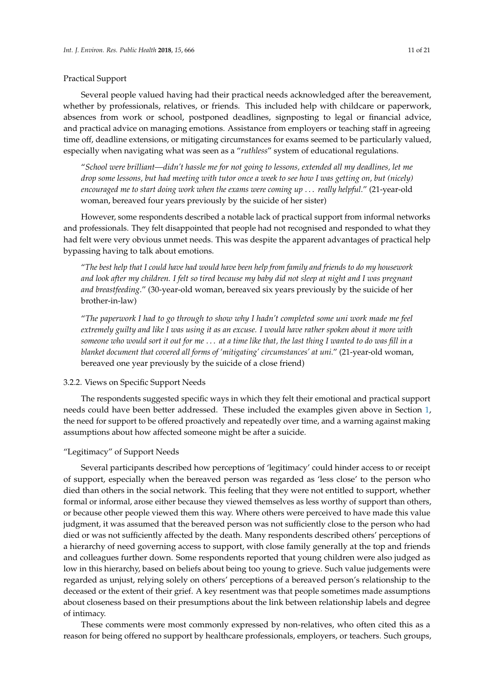#### Practical Support

Several people valued having had their practical needs acknowledged after the bereavement, whether by professionals, relatives, or friends. This included help with childcare or paperwork, absences from work or school, postponed deadlines, signposting to legal or financial advice, and practical advice on managing emotions. Assistance from employers or teaching staff in agreeing time off, deadline extensions, or mitigating circumstances for exams seemed to be particularly valued, especially when navigating what was seen as a "*ruthless*" system of educational regulations.

"*School were brilliant—didn't hassle me for not going to lessons, extended all my deadlines, let me drop some lessons, but had meeting with tutor once a week to see how I was getting on, but (nicely) encouraged me to start doing work when the exams were coming up* . . . *really helpful*." (21-year-old woman, bereaved four years previously by the suicide of her sister)

However, some respondents described a notable lack of practical support from informal networks and professionals. They felt disappointed that people had not recognised and responded to what they had felt were very obvious unmet needs. This was despite the apparent advantages of practical help bypassing having to talk about emotions.

"*The best help that I could have had would have been help from family and friends to do my housework and look after my children. I felt so tired because my baby did not sleep at night and I was pregnant and breastfeeding*." (30-year-old woman, bereaved six years previously by the suicide of her brother-in-law)

"*The paperwork I had to go through to show why I hadn't completed some uni work made me feel extremely guilty and like I was using it as an excuse. I would have rather spoken about it more with someone who would sort it out for me* . . . *at a time like that, the last thing I wanted to do was fill in a blanket document that covered all forms of 'mitigating' circumstances' at uni*." (21-year-old woman, bereaved one year previously by the suicide of a close friend)

# 3.2.2. Views on Specific Support Needs

The respondents suggested specific ways in which they felt their emotional and practical support needs could have been better addressed. These included the examples given above in Section [1,](#page-0-0) the need for support to be offered proactively and repeatedly over time, and a warning against making assumptions about how affected someone might be after a suicide.

# "Legitimacy" of Support Needs

Several participants described how perceptions of 'legitimacy' could hinder access to or receipt of support, especially when the bereaved person was regarded as 'less close' to the person who died than others in the social network. This feeling that they were not entitled to support, whether formal or informal, arose either because they viewed themselves as less worthy of support than others, or because other people viewed them this way. Where others were perceived to have made this value judgment, it was assumed that the bereaved person was not sufficiently close to the person who had died or was not sufficiently affected by the death. Many respondents described others' perceptions of a hierarchy of need governing access to support, with close family generally at the top and friends and colleagues further down. Some respondents reported that young children were also judged as low in this hierarchy, based on beliefs about being too young to grieve. Such value judgements were regarded as unjust, relying solely on others' perceptions of a bereaved person's relationship to the deceased or the extent of their grief. A key resentment was that people sometimes made assumptions about closeness based on their presumptions about the link between relationship labels and degree of intimacy.

These comments were most commonly expressed by non-relatives, who often cited this as a reason for being offered no support by healthcare professionals, employers, or teachers. Such groups,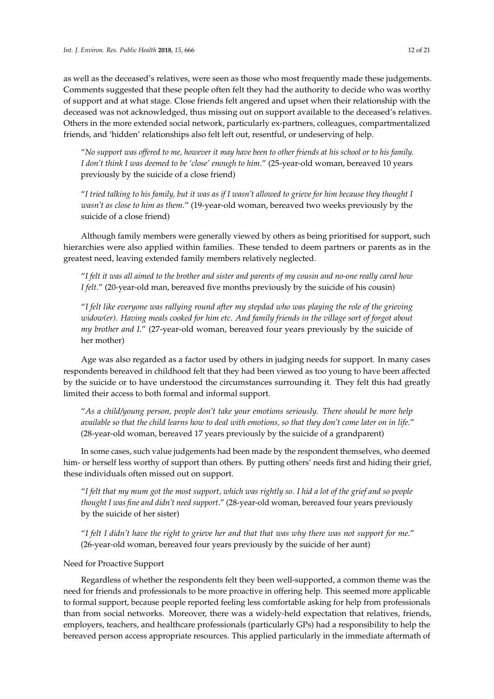as well as the deceased's relatives, were seen as those who most frequently made these judgements. Comments suggested that these people often felt they had the authority to decide who was worthy of support and at what stage. Close friends felt angered and upset when their relationship with the deceased was not acknowledged, thus missing out on support available to the deceased's relatives. Others in the more extended social network, particularly ex-partners, colleagues, compartmentalized friends, and 'hidden' relationships also felt left out, resentful, or undeserving of help.

"*No support was offered to me, however it may have been to other friends at his school or to his family. I don't think I was deemed to be 'close' enough to him*." (25-year-old woman, bereaved 10 years previously by the suicide of a close friend)

"*I tried talking to his family, but it was as if I wasn't allowed to grieve for him because they thought I wasn't as close to him as them*." (19-year-old woman, bereaved two weeks previously by the suicide of a close friend)

Although family members were generally viewed by others as being prioritised for support, such hierarchies were also applied within families. These tended to deem partners or parents as in the greatest need, leaving extended family members relatively neglected.

"*I felt it was all aimed to the brother and sister and parents of my cousin and no-one really cared how I felt*." (20-year-old man, bereaved five months previously by the suicide of his cousin)

"*I felt like everyone was rallying round after my stepdad who was playing the role of the grieving widow(er). Having meals cooked for him etc. And family friends in the village sort of forgot about my brother and I*." (27-year-old woman, bereaved four years previously by the suicide of her mother)

Age was also regarded as a factor used by others in judging needs for support. In many cases respondents bereaved in childhood felt that they had been viewed as too young to have been affected by the suicide or to have understood the circumstances surrounding it. They felt this had greatly limited their access to both formal and informal support.

"*As a child/young person, people don't take your emotions seriously. There should be more help* available so that the child learns how to deal with emotions, so that they don't come later on in life." (28-year-old woman, bereaved 17 years previously by the suicide of a grandparent)

In some cases, such value judgements had been made by the respondent themselves, who deemed him- or herself less worthy of support than others. By putting others' needs first and hiding their grief, these individuals often missed out on support.

"*I felt that my mum got the most support, which was rightly so. I hid a lot of the grief and so people thought I was fine and didn't need support*." (28-year-old woman, bereaved four years previously by the suicide of her sister)

"*I felt I didn't have the right to grieve her and that that was why there was not support for me*." (26-year-old woman, bereaved four years previously by the suicide of her aunt)

# Need for Proactive Support

Regardless of whether the respondents felt they been well-supported, a common theme was the need for friends and professionals to be more proactive in offering help. This seemed more applicable to formal support, because people reported feeling less comfortable asking for help from professionals than from social networks. Moreover, there was a widely-held expectation that relatives, friends, employers, teachers, and healthcare professionals (particularly GPs) had a responsibility to help the bereaved person access appropriate resources. This applied particularly in the immediate aftermath of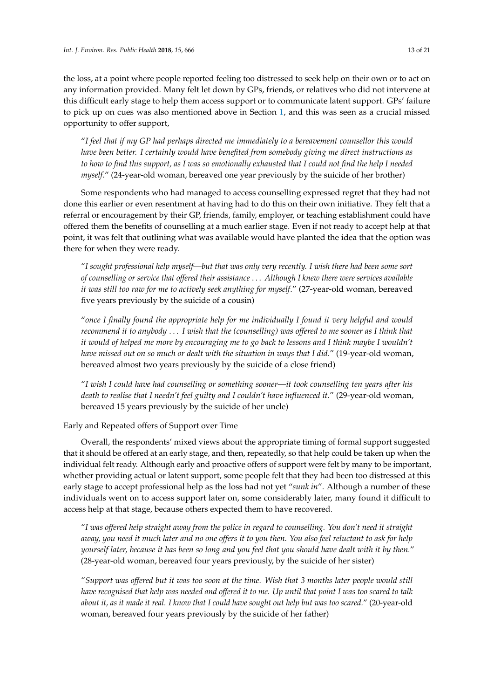the loss, at a point where people reported feeling too distressed to seek help on their own or to act on any information provided. Many felt let down by GPs, friends, or relatives who did not intervene at this difficult early stage to help them access support or to communicate latent support. GPs' failure to pick up on cues was also mentioned above in Section [1,](#page-0-0) and this was seen as a crucial missed opportunity to offer support,

"*I feel that if my GP had perhaps directed me immediately to a bereavement counsellor this would have been better. I certainly would have benefited from somebody giving me direct instructions as to how to find this support, as I was so emotionally exhausted that I could not find the help I needed myself*." (24-year-old woman, bereaved one year previously by the suicide of her brother)

Some respondents who had managed to access counselling expressed regret that they had not done this earlier or even resentment at having had to do this on their own initiative. They felt that a referral or encouragement by their GP, friends, family, employer, or teaching establishment could have offered them the benefits of counselling at a much earlier stage. Even if not ready to accept help at that point, it was felt that outlining what was available would have planted the idea that the option was there for when they were ready.

"*I sought professional help myself—but that was only very recently. I wish there had been some sort of counselling or service that offered their assistance* . . . *Although I knew there were services available it was still too raw for me to actively seek anything for myself*." (27-year-old woman, bereaved five years previously by the suicide of a cousin)

"*once I finally found the appropriate help for me individually I found it very helpful and would recommend it to anybody* . . . *I wish that the (counselling) was offered to me sooner as I think that it would of helped me more by encouraging me to go back to lessons and I think maybe I wouldn't have missed out on so much or dealt with the situation in ways that I did*." (19-year-old woman, bereaved almost two years previously by the suicide of a close friend)

"*I wish I could have had counselling or something sooner—it took counselling ten years after his death to realise that I needn't feel guilty and I couldn't have influenced it*." (29-year-old woman, bereaved 15 years previously by the suicide of her uncle)

Early and Repeated offers of Support over Time

Overall, the respondents' mixed views about the appropriate timing of formal support suggested that it should be offered at an early stage, and then, repeatedly, so that help could be taken up when the individual felt ready. Although early and proactive offers of support were felt by many to be important, whether providing actual or latent support, some people felt that they had been too distressed at this early stage to accept professional help as the loss had not yet "*sunk in*". Although a number of these individuals went on to access support later on, some considerably later, many found it difficult to access help at that stage, because others expected them to have recovered.

"*I was offered help straight away from the police in regard to counselling. You don't need it straight away, you need it much later and no one offers it to you then. You also feel reluctant to ask for help yourself later, because it has been so long and you feel that you should have dealt with it by then.*" (28-year-old woman, bereaved four years previously, by the suicide of her sister)

"*Support was offered but it was too soon at the time. Wish that 3 months later people would still have recognised that help was needed and offered it to me. Up until that point I was too scared to talk about it, as it made it real. I know that I could have sought out help but was too scared.*" (20-year-old woman, bereaved four years previously by the suicide of her father)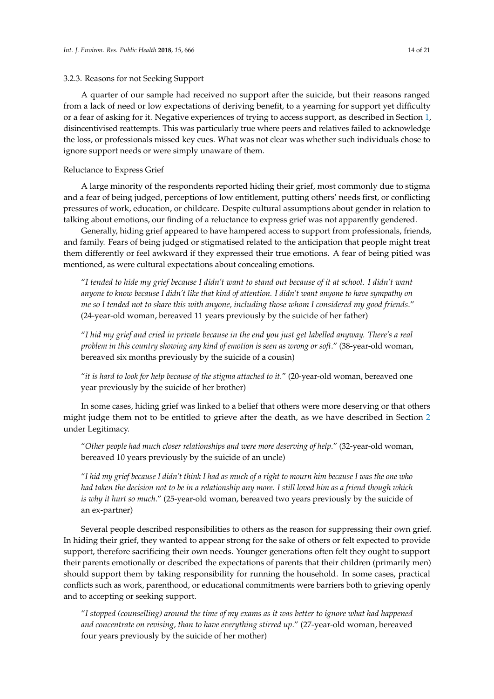#### 3.2.3. Reasons for not Seeking Support

A quarter of our sample had received no support after the suicide, but their reasons ranged from a lack of need or low expectations of deriving benefit, to a yearning for support yet difficulty or a fear of asking for it. Negative experiences of trying to access support, as described in Section [1,](#page-0-0) disincentivised reattempts. This was particularly true where peers and relatives failed to acknowledge the loss, or professionals missed key cues. What was not clear was whether such individuals chose to ignore support needs or were simply unaware of them.

#### Reluctance to Express Grief

A large minority of the respondents reported hiding their grief, most commonly due to stigma and a fear of being judged, perceptions of low entitlement, putting others' needs first, or conflicting pressures of work, education, or childcare. Despite cultural assumptions about gender in relation to talking about emotions, our finding of a reluctance to express grief was not apparently gendered.

Generally, hiding grief appeared to have hampered access to support from professionals, friends, and family. Fears of being judged or stigmatised related to the anticipation that people might treat them differently or feel awkward if they expressed their true emotions. A fear of being pitied was mentioned, as were cultural expectations about concealing emotions.

"*I tended to hide my grief because I didn't want to stand out because of it at school. I didn't want anyone to know because I didn't like that kind of attention. I didn't want anyone to have sympathy on me so I tended not to share this with anyone, including those whom I considered my good friends*." (24-year-old woman, bereaved 11 years previously by the suicide of her father)

"*I hid my grief and cried in private because in the end you just get labelled anyway. There's a real problem in this country showing any kind of emotion is seen as wrong or soft*." (38-year-old woman, bereaved six months previously by the suicide of a cousin)

"*it is hard to look for help because of the stigma attached to it.*" (20-year-old woman, bereaved one year previously by the suicide of her brother)

In some cases, hiding grief was linked to a belief that others were more deserving or that others might judge them not to be entitled to grieve after the death, as we have described in Section [2](#page-1-0) under Legitimacy.

"*Other people had much closer relationships and were more deserving of help*." (32-year-old woman, bereaved 10 years previously by the suicide of an uncle)

"*I hid my grief because I didn't think I had as much of a right to mourn him because I was the one who had taken the decision not to be in a relationship any more. I still loved him as a friend though which is why it hurt so much*." (25-year-old woman, bereaved two years previously by the suicide of an ex-partner)

Several people described responsibilities to others as the reason for suppressing their own grief. In hiding their grief, they wanted to appear strong for the sake of others or felt expected to provide support, therefore sacrificing their own needs. Younger generations often felt they ought to support their parents emotionally or described the expectations of parents that their children (primarily men) should support them by taking responsibility for running the household. In some cases, practical conflicts such as work, parenthood, or educational commitments were barriers both to grieving openly and to accepting or seeking support.

"*I stopped (counselling) around the time of my exams as it was better to ignore what had happened and concentrate on revising, than to have everything stirred up*." (27-year-old woman, bereaved four years previously by the suicide of her mother)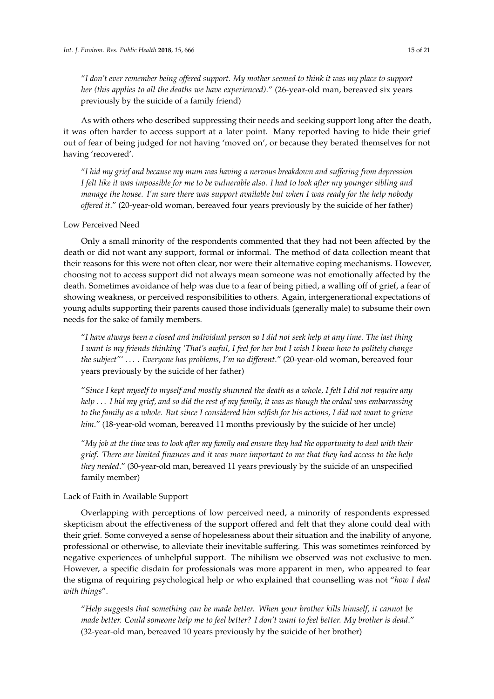"*I don't ever remember being offered support. My mother seemed to think it was my place to support her (this applies to all the deaths we have experienced)*." (26-year-old man, bereaved six years previously by the suicide of a family friend)

As with others who described suppressing their needs and seeking support long after the death, it was often harder to access support at a later point. Many reported having to hide their grief out of fear of being judged for not having 'moved on', or because they berated themselves for not having 'recovered'.

"*I hid my grief and because my mum was having a nervous breakdown and suffering from depression I felt like it was impossible for me to be vulnerable also. I had to look after my younger sibling and manage the house. I'm sure there was support available but when I was ready for the help nobody offered it*." (20-year-old woman, bereaved four years previously by the suicide of her father)

# Low Perceived Need

Only a small minority of the respondents commented that they had not been affected by the death or did not want any support, formal or informal. The method of data collection meant that their reasons for this were not often clear, nor were their alternative coping mechanisms. However, choosing not to access support did not always mean someone was not emotionally affected by the death. Sometimes avoidance of help was due to a fear of being pitied, a walling off of grief, a fear of showing weakness, or perceived responsibilities to others. Again, intergenerational expectations of young adults supporting their parents caused those individuals (generally male) to subsume their own needs for the sake of family members.

"*I have always been a closed and individual person so I did not seek help at any time. The last thing I want is my friends thinking 'That's awful, I feel for her but I wish I knew how to politely change the subject"'* . . . *. Everyone has problems, I'm no different*." (20-year-old woman, bereaved four years previously by the suicide of her father)

"*Since I kept myself to myself and mostly shunned the death as a whole, I felt I did not require any help* . . . *I hid my grief, and so did the rest of my family, it was as though the ordeal was embarrassing to the family as a whole. But since I considered him selfish for his actions, I did not want to grieve him*." (18-year-old woman, bereaved 11 months previously by the suicide of her uncle)

"*My job at the time was to look after my family and ensure they had the opportunity to deal with their grief. There are limited finances and it was more important to me that they had access to the help they needed*." (30-year-old man, bereaved 11 years previously by the suicide of an unspecified family member)

# Lack of Faith in Available Support

Overlapping with perceptions of low perceived need, a minority of respondents expressed skepticism about the effectiveness of the support offered and felt that they alone could deal with their grief. Some conveyed a sense of hopelessness about their situation and the inability of anyone, professional or otherwise, to alleviate their inevitable suffering. This was sometimes reinforced by negative experiences of unhelpful support. The nihilism we observed was not exclusive to men. However, a specific disdain for professionals was more apparent in men, who appeared to fear the stigma of requiring psychological help or who explained that counselling was not "*how I deal with things*".

"*Help suggests that something can be made better. When your brother kills himself, it cannot be made better. Could someone help me to feel better? I don't want to feel better. My brother is dead*." (32-year-old man, bereaved 10 years previously by the suicide of her brother)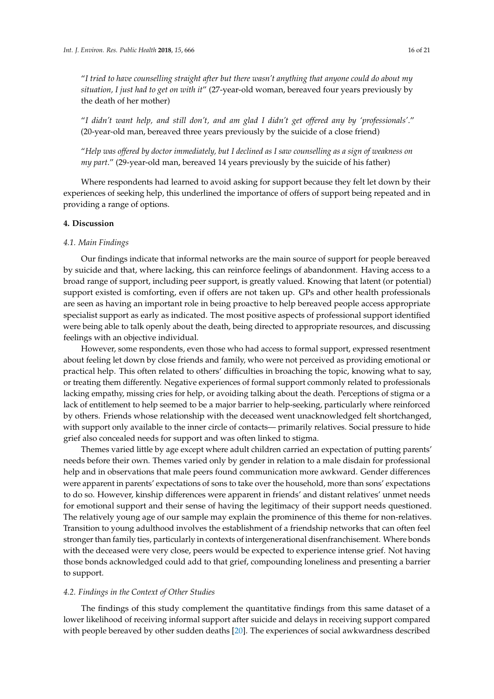"*I tried to have counselling straight after but there wasn't anything that anyone could do about my situation, I just had to get on with it*" (27-year-old woman, bereaved four years previously by the death of her mother)

"*I didn't want help, and still don't, and am glad I didn't get offered any by 'professionals'*." (20-year-old man, bereaved three years previously by the suicide of a close friend)

"*Help was offered by doctor immediately, but I declined as I saw counselling as a sign of weakness on my part*." (29-year-old man, bereaved 14 years previously by the suicide of his father)

Where respondents had learned to avoid asking for support because they felt let down by their experiences of seeking help, this underlined the importance of offers of support being repeated and in providing a range of options.

# **4. Discussion**

#### *4.1. Main Findings*

Our findings indicate that informal networks are the main source of support for people bereaved by suicide and that, where lacking, this can reinforce feelings of abandonment. Having access to a broad range of support, including peer support, is greatly valued. Knowing that latent (or potential) support existed is comforting, even if offers are not taken up. GPs and other health professionals are seen as having an important role in being proactive to help bereaved people access appropriate specialist support as early as indicated. The most positive aspects of professional support identified were being able to talk openly about the death, being directed to appropriate resources, and discussing feelings with an objective individual.

However, some respondents, even those who had access to formal support, expressed resentment about feeling let down by close friends and family, who were not perceived as providing emotional or practical help. This often related to others' difficulties in broaching the topic, knowing what to say, or treating them differently. Negative experiences of formal support commonly related to professionals lacking empathy, missing cries for help, or avoiding talking about the death. Perceptions of stigma or a lack of entitlement to help seemed to be a major barrier to help-seeking, particularly where reinforced by others. Friends whose relationship with the deceased went unacknowledged felt shortchanged, with support only available to the inner circle of contacts— primarily relatives. Social pressure to hide grief also concealed needs for support and was often linked to stigma.

Themes varied little by age except where adult children carried an expectation of putting parents' needs before their own. Themes varied only by gender in relation to a male disdain for professional help and in observations that male peers found communication more awkward. Gender differences were apparent in parents' expectations of sons to take over the household, more than sons' expectations to do so. However, kinship differences were apparent in friends' and distant relatives' unmet needs for emotional support and their sense of having the legitimacy of their support needs questioned. The relatively young age of our sample may explain the prominence of this theme for non-relatives. Transition to young adulthood involves the establishment of a friendship networks that can often feel stronger than family ties, particularly in contexts of intergenerational disenfranchisement. Where bonds with the deceased were very close, peers would be expected to experience intense grief. Not having those bonds acknowledged could add to that grief, compounding loneliness and presenting a barrier to support.

#### *4.2. Findings in the Context of Other Studies*

The findings of this study complement the quantitative findings from this same dataset of a lower likelihood of receiving informal support after suicide and delays in receiving support compared with people bereaved by other sudden deaths [\[20\]](#page-19-6). The experiences of social awkwardness described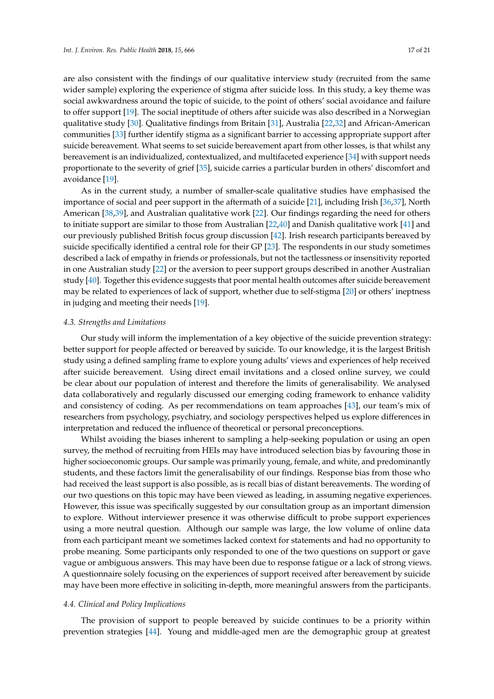are also consistent with the findings of our qualitative interview study (recruited from the same wider sample) exploring the experience of stigma after suicide loss. In this study, a key theme was social awkwardness around the topic of suicide, to the point of others' social avoidance and failure to offer support [\[19\]](#page-19-5). The social ineptitude of others after suicide was also described in a Norwegian qualitative study [\[30\]](#page-19-16). Qualitative findings from Britain [\[31\]](#page-19-17), Australia [\[22,](#page-19-8)[32\]](#page-19-18) and African-American communities [\[33\]](#page-19-19) further identify stigma as a significant barrier to accessing appropriate support after suicide bereavement. What seems to set suicide bereavement apart from other losses, is that whilst any bereavement is an individualized, contextualized, and multifaceted experience [\[34\]](#page-19-20) with support needs proportionate to the severity of grief [\[35\]](#page-19-21), suicide carries a particular burden in others' discomfort and avoidance [\[19\]](#page-19-5).

As in the current study, a number of smaller-scale qualitative studies have emphasised the importance of social and peer support in the aftermath of a suicide [\[21\]](#page-19-7), including Irish [\[36,](#page-19-22)[37\]](#page-19-23), North American [\[38](#page-20-0)[,39\]](#page-20-1), and Australian qualitative work [\[22\]](#page-19-8). Our findings regarding the need for others to initiate support are similar to those from Australian [\[22](#page-19-8)[,40\]](#page-20-2) and Danish qualitative work [\[41\]](#page-20-3) and our previously published British focus group discussion [\[42\]](#page-20-4). Irish research participants bereaved by suicide specifically identified a central role for their GP [\[23\]](#page-19-9). The respondents in our study sometimes described a lack of empathy in friends or professionals, but not the tactlessness or insensitivity reported in one Australian study [\[22\]](#page-19-8) or the aversion to peer support groups described in another Australian study [\[40\]](#page-20-2). Together this evidence suggests that poor mental health outcomes after suicide bereavement may be related to experiences of lack of support, whether due to self-stigma [\[20\]](#page-19-6) or others' ineptness in judging and meeting their needs [\[19\]](#page-19-5).

#### *4.3. Strengths and Limitations*

Our study will inform the implementation of a key objective of the suicide prevention strategy: better support for people affected or bereaved by suicide. To our knowledge, it is the largest British study using a defined sampling frame to explore young adults' views and experiences of help received after suicide bereavement. Using direct email invitations and a closed online survey, we could be clear about our population of interest and therefore the limits of generalisability. We analysed data collaboratively and regularly discussed our emerging coding framework to enhance validity and consistency of coding. As per recommendations on team approaches [\[43\]](#page-20-5), our team's mix of researchers from psychology, psychiatry, and sociology perspectives helped us explore differences in interpretation and reduced the influence of theoretical or personal preconceptions.

Whilst avoiding the biases inherent to sampling a help-seeking population or using an open survey, the method of recruiting from HEIs may have introduced selection bias by favouring those in higher socioeconomic groups. Our sample was primarily young, female, and white, and predominantly students, and these factors limit the generalisability of our findings. Response bias from those who had received the least support is also possible, as is recall bias of distant bereavements. The wording of our two questions on this topic may have been viewed as leading, in assuming negative experiences. However, this issue was specifically suggested by our consultation group as an important dimension to explore. Without interviewer presence it was otherwise difficult to probe support experiences using a more neutral question. Although our sample was large, the low volume of online data from each participant meant we sometimes lacked context for statements and had no opportunity to probe meaning. Some participants only responded to one of the two questions on support or gave vague or ambiguous answers. This may have been due to response fatigue or a lack of strong views. A questionnaire solely focusing on the experiences of support received after bereavement by suicide may have been more effective in soliciting in-depth, more meaningful answers from the participants.

#### *4.4. Clinical and Policy Implications*

The provision of support to people bereaved by suicide continues to be a priority within prevention strategies [\[44\]](#page-20-6). Young and middle-aged men are the demographic group at greatest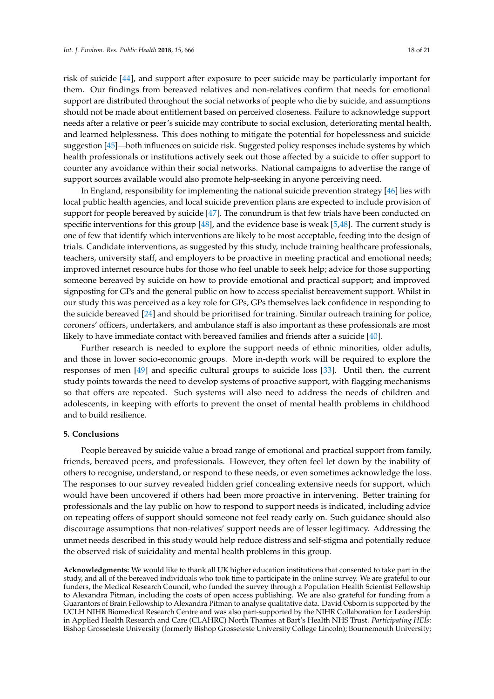risk of suicide [\[44\]](#page-20-6), and support after exposure to peer suicide may be particularly important for them. Our findings from bereaved relatives and non-relatives confirm that needs for emotional support are distributed throughout the social networks of people who die by suicide, and assumptions should not be made about entitlement based on perceived closeness. Failure to acknowledge support needs after a relative or peer's suicide may contribute to social exclusion, deteriorating mental health, and learned helplessness. This does nothing to mitigate the potential for hopelessness and suicide suggestion [\[45\]](#page-20-7)—both influences on suicide risk. Suggested policy responses include systems by which health professionals or institutions actively seek out those affected by a suicide to offer support to counter any avoidance within their social networks. National campaigns to advertise the range of support sources available would also promote help-seeking in anyone perceiving need.

In England, responsibility for implementing the national suicide prevention strategy [\[46\]](#page-20-8) lies with local public health agencies, and local suicide prevention plans are expected to include provision of support for people bereaved by suicide [\[47\]](#page-20-9). The conundrum is that few trials have been conducted on specific interventions for this group [\[48\]](#page-20-10), and the evidence base is weak [\[5](#page-18-4)[,48\]](#page-20-10). The current study is one of few that identify which interventions are likely to be most acceptable, feeding into the design of trials. Candidate interventions, as suggested by this study, include training healthcare professionals, teachers, university staff, and employers to be proactive in meeting practical and emotional needs; improved internet resource hubs for those who feel unable to seek help; advice for those supporting someone bereaved by suicide on how to provide emotional and practical support; and improved signposting for GPs and the general public on how to access specialist bereavement support. Whilst in our study this was perceived as a key role for GPs, GPs themselves lack confidence in responding to the suicide bereaved [\[24\]](#page-19-10) and should be prioritised for training. Similar outreach training for police, coroners' officers, undertakers, and ambulance staff is also important as these professionals are most likely to have immediate contact with bereaved families and friends after a suicide [\[40\]](#page-20-2).

Further research is needed to explore the support needs of ethnic minorities, older adults, and those in lower socio-economic groups. More in-depth work will be required to explore the responses of men [\[49\]](#page-20-11) and specific cultural groups to suicide loss [\[33\]](#page-19-19). Until then, the current study points towards the need to develop systems of proactive support, with flagging mechanisms so that offers are repeated. Such systems will also need to address the needs of children and adolescents, in keeping with efforts to prevent the onset of mental health problems in childhood and to build resilience.

## **5. Conclusions**

People bereaved by suicide value a broad range of emotional and practical support from family, friends, bereaved peers, and professionals. However, they often feel let down by the inability of others to recognise, understand, or respond to these needs, or even sometimes acknowledge the loss. The responses to our survey revealed hidden grief concealing extensive needs for support, which would have been uncovered if others had been more proactive in intervening. Better training for professionals and the lay public on how to respond to support needs is indicated, including advice on repeating offers of support should someone not feel ready early on. Such guidance should also discourage assumptions that non-relatives' support needs are of lesser legitimacy. Addressing the unmet needs described in this study would help reduce distress and self-stigma and potentially reduce the observed risk of suicidality and mental health problems in this group.

**Acknowledgments:** We would like to thank all UK higher education institutions that consented to take part in the study, and all of the bereaved individuals who took time to participate in the online survey. We are grateful to our funders, the Medical Research Council, who funded the survey through a Population Health Scientist Fellowship to Alexandra Pitman, including the costs of open access publishing. We are also grateful for funding from a Guarantors of Brain Fellowship to Alexandra Pitman to analyse qualitative data. David Osborn is supported by the UCLH NIHR Biomedical Research Centre and was also part-supported by the NIHR Collaboration for Leadership in Applied Health Research and Care (CLAHRC) North Thames at Bart's Health NHS Trust. *Participating HEIs*: Bishop Grosseteste University (formerly Bishop Grosseteste University College Lincoln); Bournemouth University;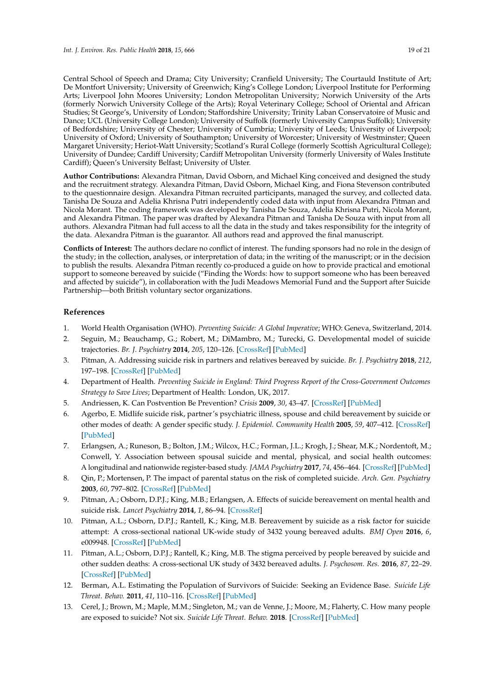Central School of Speech and Drama; City University; Cranfield University; The Courtauld Institute of Art; De Montfort University; University of Greenwich; King's College London; Liverpool Institute for Performing Arts; Liverpool John Moores University; London Metropolitan University; Norwich University of the Arts (formerly Norwich University College of the Arts); Royal Veterinary College; School of Oriental and African Studies; St George's, University of London; Staffordshire University; Trinity Laban Conservatoire of Music and Dance; UCL (University College London); University of Suffolk (formerly University Campus Suffolk); University of Bedfordshire; University of Chester; University of Cumbria; University of Leeds; University of Liverpool; University of Oxford; University of Southampton; University of Worcester; University of Westminster; Queen Margaret University; Heriot-Watt University; Scotland's Rural College (formerly Scottish Agricultural College); University of Dundee; Cardiff University; Cardiff Metropolitan University (formerly University of Wales Institute Cardiff); Queen's University Belfast; University of Ulster.

**Author Contributions:** Alexandra Pitman, David Osborn, and Michael King conceived and designed the study and the recruitment strategy. Alexandra Pitman, David Osborn, Michael King, and Fiona Stevenson contributed to the questionnaire design. Alexandra Pitman recruited participants, managed the survey, and collected data. Tanisha De Souza and Adelia Khrisna Putri independently coded data with input from Alexandra Pitman and Nicola Morant. The coding framework was developed by Tanisha De Souza, Adelia Khrisna Putri, Nicola Morant, and Alexandra Pitman. The paper was drafted by Alexandra Pitman and Tanisha De Souza with input from all authors. Alexandra Pitman had full access to all the data in the study and takes responsibility for the integrity of the data. Alexandra Pitman is the guarantor. All authors read and approved the final manuscript.

**Conflicts of Interest:** The authors declare no conflict of interest. The funding sponsors had no role in the design of the study; in the collection, analyses, or interpretation of data; in the writing of the manuscript; or in the decision to publish the results. Alexandra Pitman recently co-produced a guide on how to provide practical and emotional support to someone bereaved by suicide ("Finding the Words: how to support someone who has been bereaved and affected by suicide"), in collaboration with the Judi Meadows Memorial Fund and the Support after Suicide Partnership—both British voluntary sector organizations.

# **References**

- <span id="page-18-0"></span>1. World Health Organisation (WHO). *Preventing Suicide: A Global Imperative*; WHO: Geneva, Switzerland, 2014.
- <span id="page-18-1"></span>2. Seguin, M.; Beauchamp, G.; Robert, M.; DiMambro, M.; Turecki, G. Developmental model of suicide trajectories. *Br. J. Psychiatry* **2014**, *205*, 120–126. [\[CrossRef\]](http://dx.doi.org/10.1192/bjp.bp.113.139949) [\[PubMed\]](http://www.ncbi.nlm.nih.gov/pubmed/24809398)
- <span id="page-18-2"></span>3. Pitman, A. Addressing suicide risk in partners and relatives bereaved by suicide. *Br. J. Psychiatry* **2018**, *212*, 197–198. [\[CrossRef\]](http://dx.doi.org/10.1192/bjp.2017.46) [\[PubMed\]](http://www.ncbi.nlm.nih.gov/pubmed/29557756)
- <span id="page-18-3"></span>4. Department of Health. *Preventing Suicide in England: Third Progress Report of the Cross-Government Outcomes Strategy to Save Lives*; Department of Health: London, UK, 2017.
- <span id="page-18-4"></span>5. Andriessen, K. Can Postvention Be Prevention? *Crisis* **2009**, *30*, 43–47. [\[CrossRef\]](http://dx.doi.org/10.1027/0227-5910.30.1.43) [\[PubMed\]](http://www.ncbi.nlm.nih.gov/pubmed/19261568)
- <span id="page-18-5"></span>6. Agerbo, E. Midlife suicide risk, partner's psychiatric illness, spouse and child bereavement by suicide or other modes of death: A gender specific study. *J. Epidemiol. Community Health* **2005**, *59*, 407–412. [\[CrossRef\]](http://dx.doi.org/10.1136/jech.2004.024950) [\[PubMed\]](http://www.ncbi.nlm.nih.gov/pubmed/15831691)
- <span id="page-18-6"></span>7. Erlangsen, A.; Runeson, B.; Bolton, J.M.; Wilcox, H.C.; Forman, J.L.; Krogh, J.; Shear, M.K.; Nordentoft, M.; Conwell, Y. Association between spousal suicide and mental, physical, and social health outcomes: A longitudinal and nationwide register-based study. *JAMA Psychiatry* **2017**, *74*, 456–464. [\[CrossRef\]](http://dx.doi.org/10.1001/jamapsychiatry.2017.0226) [\[PubMed\]](http://www.ncbi.nlm.nih.gov/pubmed/28329305)
- <span id="page-18-7"></span>8. Qin, P.; Mortensen, P. The impact of parental status on the risk of completed suicide. *Arch. Gen. Psychiatry* **2003**, *60*, 797–802. [\[CrossRef\]](http://dx.doi.org/10.1001/archpsyc.60.8.797) [\[PubMed\]](http://www.ncbi.nlm.nih.gov/pubmed/12912763)
- <span id="page-18-8"></span>9. Pitman, A.; Osborn, D.P.J.; King, M.B.; Erlangsen, A. Effects of suicide bereavement on mental health and suicide risk. *Lancet Psychiatry* **2014**, *1*, 86–94. [\[CrossRef\]](http://dx.doi.org/10.1016/S2215-0366(14)70224-X)
- <span id="page-18-9"></span>10. Pitman, A.L.; Osborn, D.P.J.; Rantell, K.; King, M.B. Bereavement by suicide as a risk factor for suicide attempt: A cross-sectional national UK-wide study of 3432 young bereaved adults. *BMJ Open* **2016**, *6*, e009948. [\[CrossRef\]](http://dx.doi.org/10.1136/bmjopen-2015-009948) [\[PubMed\]](http://www.ncbi.nlm.nih.gov/pubmed/26813968)
- <span id="page-18-10"></span>11. Pitman, A.L.; Osborn, D.P.J.; Rantell, K.; King, M.B. The stigma perceived by people bereaved by suicide and other sudden deaths: A cross-sectional UK study of 3432 bereaved adults. *J. Psychosom. Res.* **2016**, *87*, 22–29. [\[CrossRef\]](http://dx.doi.org/10.1016/j.jpsychores.2016.05.009) [\[PubMed\]](http://www.ncbi.nlm.nih.gov/pubmed/27411748)
- <span id="page-18-11"></span>12. Berman, A.L. Estimating the Population of Survivors of Suicide: Seeking an Evidence Base. *Suicide Life Threat. Behav.* **2011**, *41*, 110–116. [\[CrossRef\]](http://dx.doi.org/10.1111/j.1943-278X.2010.00009.x) [\[PubMed\]](http://www.ncbi.nlm.nih.gov/pubmed/21309829)
- <span id="page-18-12"></span>13. Cerel, J.; Brown, M.; Maple, M.M.; Singleton, M.; van de Venne, J.; Moore, M.; Flaherty, C. How many people are exposed to suicide? Not six. *Suicide Life Threat. Behav.* **2018**. [\[CrossRef\]](http://dx.doi.org/10.1111/sltb.12450) [\[PubMed\]](http://www.ncbi.nlm.nih.gov/pubmed/29512876)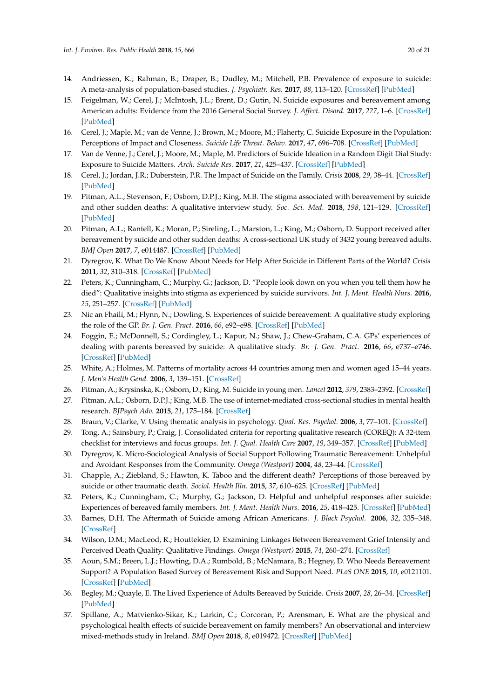- <span id="page-19-0"></span>14. Andriessen, K.; Rahman, B.; Draper, B.; Dudley, M.; Mitchell, P.B. Prevalence of exposure to suicide: A meta-analysis of population-based studies. *J. Psychiatr. Res.* **2017**, *88*, 113–120. [\[CrossRef\]](http://dx.doi.org/10.1016/j.jpsychires.2017.01.017) [\[PubMed\]](http://www.ncbi.nlm.nih.gov/pubmed/28199930)
- <span id="page-19-1"></span>15. Feigelman, W.; Cerel, J.; McIntosh, J.L.; Brent, D.; Gutin, N. Suicide exposures and bereavement among American adults: Evidence from the 2016 General Social Survey. *J. Affect. Disord.* **2017**, *227*, 1–6. [\[CrossRef\]](http://dx.doi.org/10.1016/j.jad.2017.09.056) [\[PubMed\]](http://www.ncbi.nlm.nih.gov/pubmed/29045914)
- <span id="page-19-2"></span>16. Cerel, J.; Maple, M.; van de Venne, J.; Brown, M.; Moore, M.; Flaherty, C. Suicide Exposure in the Population: Perceptions of Impact and Closeness. *Suicide Life Threat. Behav.* **2017**, *47*, 696–708. [\[CrossRef\]](http://dx.doi.org/10.1111/sltb.12333) [\[PubMed\]](http://www.ncbi.nlm.nih.gov/pubmed/28150414)
- <span id="page-19-3"></span>17. Van de Venne, J.; Cerel, J.; Moore, M.; Maple, M. Predictors of Suicide Ideation in a Random Digit Dial Study: Exposure to Suicide Matters. *Arch. Suicide Res.* **2017**, *21*, 425–437. [\[CrossRef\]](http://dx.doi.org/10.1080/13811118.2016.1211044) [\[PubMed\]](http://www.ncbi.nlm.nih.gov/pubmed/27440559)
- <span id="page-19-4"></span>18. Cerel, J.; Jordan, J.R.; Duberstein, P.R. The Impact of Suicide on the Family. *Crisis* **2008**, *29*, 38–44. [\[CrossRef\]](http://dx.doi.org/10.1027/0227-5910.29.1.38) [\[PubMed\]](http://www.ncbi.nlm.nih.gov/pubmed/18389644)
- <span id="page-19-5"></span>19. Pitman, A.L.; Stevenson, F.; Osborn, D.P.J.; King, M.B. The stigma associated with bereavement by suicide and other sudden deaths: A qualitative interview study. *Soc. Sci. Med.* **2018**, *198*, 121–129. [\[CrossRef\]](http://dx.doi.org/10.1016/j.socscimed.2017.12.035) [\[PubMed\]](http://www.ncbi.nlm.nih.gov/pubmed/29316512)
- <span id="page-19-6"></span>20. Pitman, A.L.; Rantell, K.; Moran, P.; Sireling, L.; Marston, L.; King, M.; Osborn, D. Support received after bereavement by suicide and other sudden deaths: A cross-sectional UK study of 3432 young bereaved adults. *BMJ Open* **2017**, *7*, e014487. [\[CrossRef\]](http://dx.doi.org/10.1136/bmjopen-2016-014487) [\[PubMed\]](http://www.ncbi.nlm.nih.gov/pubmed/28554915)
- <span id="page-19-7"></span>21. Dyregrov, K. What Do We Know About Needs for Help After Suicide in Different Parts of the World? *Crisis* **2011**, *32*, 310–318. [\[CrossRef\]](http://dx.doi.org/10.1027/0227-5910/a000098) [\[PubMed\]](http://www.ncbi.nlm.nih.gov/pubmed/21940240)
- <span id="page-19-8"></span>22. Peters, K.; Cunningham, C.; Murphy, G.; Jackson, D. "People look down on you when you tell them how he died": Qualitative insights into stigma as experienced by suicide survivors. *Int. J. Ment. Health Nurs.* **2016**, *25*, 251–257. [\[CrossRef\]](http://dx.doi.org/10.1111/inm.12210) [\[PubMed\]](http://www.ncbi.nlm.nih.gov/pubmed/26889754)
- <span id="page-19-9"></span>23. Nic an Fhailí, M.; Flynn, N.; Dowling, S. Experiences of suicide bereavement: A qualitative study exploring the role of the GP. *Br. J. Gen. Pract.* **2016**, *66*, e92–e98. [\[CrossRef\]](http://dx.doi.org/10.3399/bjgp16X683413) [\[PubMed\]](http://www.ncbi.nlm.nih.gov/pubmed/26823270)
- <span id="page-19-10"></span>24. Foggin, E.; McDonnell, S.; Cordingley, L.; Kapur, N.; Shaw, J.; Chew-Graham, C.A. GPs' experiences of dealing with parents bereaved by suicide: A qualitative study. *Br. J. Gen. Pract.* **2016**, *66*, e737–e746. [\[CrossRef\]](http://dx.doi.org/10.3399/bjgp16X686605) [\[PubMed\]](http://www.ncbi.nlm.nih.gov/pubmed/27528708)
- <span id="page-19-11"></span>25. White, A.; Holmes, M. Patterns of mortality across 44 countries among men and women aged 15–44 years. *J. Men's Health Gend.* **2006**, *3*, 139–151. [\[CrossRef\]](http://dx.doi.org/10.1016/j.jmhg.2006.04.002)
- <span id="page-19-12"></span>26. Pitman, A.; Krysinska, K.; Osborn, D.; King, M. Suicide in young men. *Lancet* **2012**, *379*, 2383–2392. [\[CrossRef\]](http://dx.doi.org/10.1016/S0140-6736(12)60731-4)
- <span id="page-19-13"></span>27. Pitman, A.L.; Osborn, D.P.J.; King, M.B. The use of internet-mediated cross-sectional studies in mental health research. *BJPsych Adv.* **2015**, *21*, 175–184. [\[CrossRef\]](http://dx.doi.org/10.1192/apt.bp.114.012948)
- <span id="page-19-14"></span>28. Braun, V.; Clarke, V. Using thematic analysis in psychology. *Qual. Res. Psychol.* **2006**, *3*, 77–101. [\[CrossRef\]](http://dx.doi.org/10.1191/1478088706qp063oa)
- <span id="page-19-15"></span>29. Tong, A.; Sainsbury, P.; Craig, J. Consolidated criteria for reporting qualitative research (COREQ): A 32-item checklist for interviews and focus groups. *Int. J. Qual. Health Care* **2007**, *19*, 349–357. [\[CrossRef\]](http://dx.doi.org/10.1093/intqhc/mzm042) [\[PubMed\]](http://www.ncbi.nlm.nih.gov/pubmed/17872937)
- <span id="page-19-16"></span>30. Dyregrov, K. Micro-Sociological Analysis of Social Support Following Traumatic Bereavement: Unhelpful and Avoidant Responses from the Community. *Omega (Westport)* **2004**, *48*, 23–44. [\[CrossRef\]](http://dx.doi.org/10.2190/T3NM-VFBK-68R0-UJ60)
- <span id="page-19-17"></span>31. Chapple, A.; Ziebland, S.; Hawton, K. Taboo and the different death? Perceptions of those bereaved by suicide or other traumatic death. *Sociol. Health Illn.* **2015**, *37*, 610–625. [\[CrossRef\]](http://dx.doi.org/10.1111/1467-9566.12224) [\[PubMed\]](http://www.ncbi.nlm.nih.gov/pubmed/25683372)
- <span id="page-19-18"></span>32. Peters, K.; Cunningham, C.; Murphy, G.; Jackson, D. Helpful and unhelpful responses after suicide: Experiences of bereaved family members. *Int. J. Ment. Health Nurs.* **2016**, *25*, 418–425. [\[CrossRef\]](http://dx.doi.org/10.1111/inm.12224) [\[PubMed\]](http://www.ncbi.nlm.nih.gov/pubmed/27037948)
- <span id="page-19-19"></span>33. Barnes, D.H. The Aftermath of Suicide among African Americans. *J. Black Psychol.* **2006**, *32*, 335–348. [\[CrossRef\]](http://dx.doi.org/10.1177/0095798406290470)
- <span id="page-19-20"></span>34. Wilson, D.M.; MacLeod, R.; Houttekier, D. Examining Linkages Between Bereavement Grief Intensity and Perceived Death Quality: Qualitative Findings. *Omega (Westport)* **2015**, *74*, 260–274. [\[CrossRef\]](http://dx.doi.org/10.1177/0030222815598442)
- <span id="page-19-21"></span>35. Aoun, S.M.; Breen, L.J.; Howting, D.A.; Rumbold, B.; McNamara, B.; Hegney, D. Who Needs Bereavement Support? A Population Based Survey of Bereavement Risk and Support Need. *PLoS ONE* **2015**, *10*, e0121101. [\[CrossRef\]](http://dx.doi.org/10.1371/journal.pone.0121101) [\[PubMed\]](http://www.ncbi.nlm.nih.gov/pubmed/25811912)
- <span id="page-19-22"></span>36. Begley, M.; Quayle, E. The Lived Experience of Adults Bereaved by Suicide. *Crisis* **2007**, *28*, 26–34. [\[CrossRef\]](http://dx.doi.org/10.1027/0227-5910.28.1.26) [\[PubMed\]](http://www.ncbi.nlm.nih.gov/pubmed/17555030)
- <span id="page-19-23"></span>37. Spillane, A.; Matvienko-Sikar, K.; Larkin, C.; Corcoran, P.; Arensman, E. What are the physical and psychological health effects of suicide bereavement on family members? An observational and interview mixed-methods study in Ireland. *BMJ Open* **2018**, *8*, e019472. [\[CrossRef\]](http://dx.doi.org/10.1136/bmjopen-2017-019472) [\[PubMed\]](http://www.ncbi.nlm.nih.gov/pubmed/29331974)